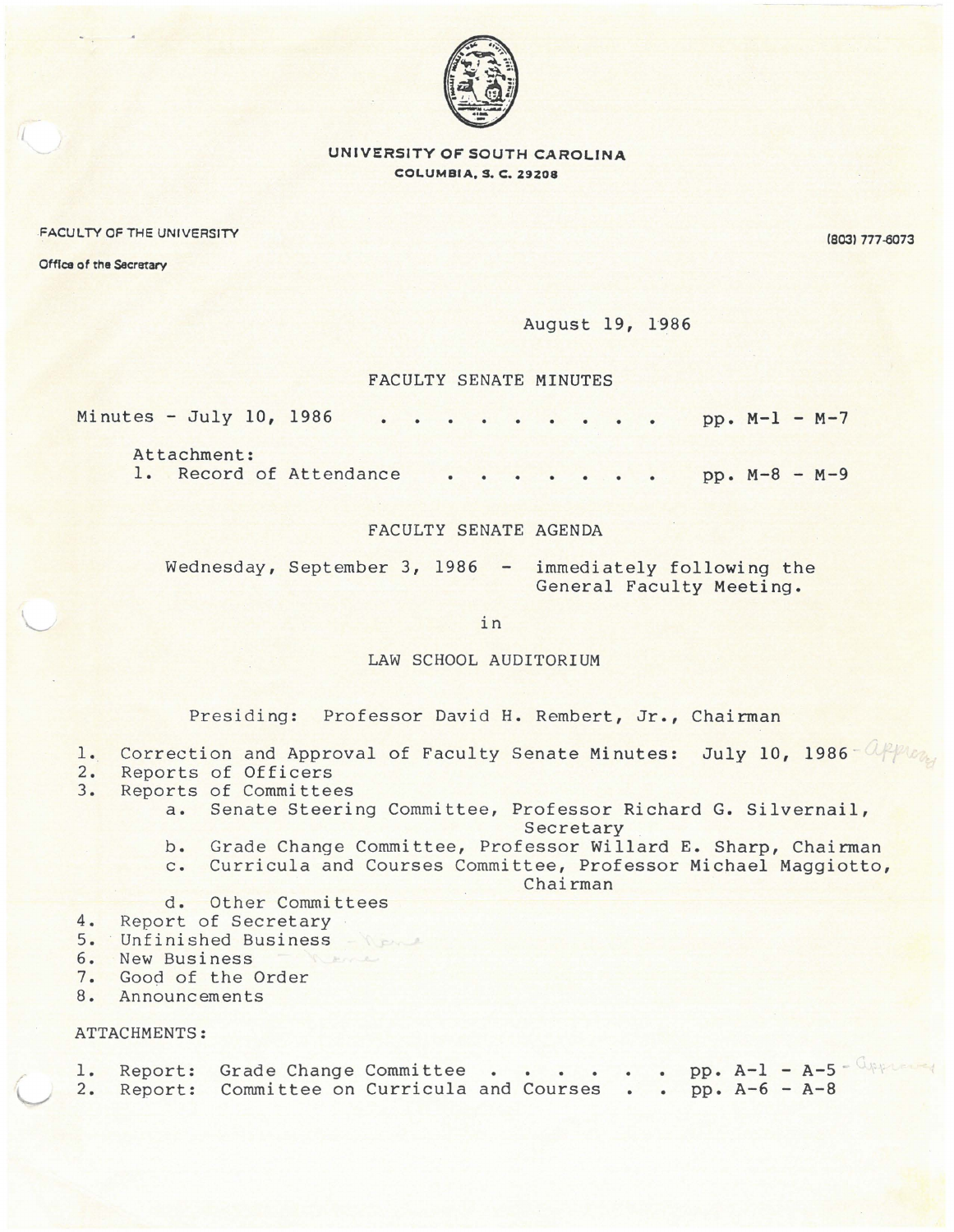

**UNIVERSITY OF SOUTH CAROLINA COLUMBIA, S. C. 29208** 

FACULTY OF THE UNIVERSITY

Office of the Secretary

(8031 777-0073

August 19, 1986

## FACULTY SENATE MINUTES

| Minutes - July 10, 1986 |  |  |  | $pp. M-1 - M-7$ |
|-------------------------|--|--|--|-----------------|
| Attachment:             |  |  |  |                 |
| 1. Record of Attendance |  |  |  | $pp. M-8 - M-9$ |

FACULTY SENATE AGENDA

Wednesday, September 3, 1986 - immediately following the General Faculty Meeting.

in

LAW SCHOOL AUDITORIUM

Presiding: Professor David H. Rembert, Jr., Chairman

- 1. Correction and Approval of Faculty Senate Minutes: July 10, 1986 Approved
- 2. Reports of Officers<br>3. Reports of Committe
	- Reports of Committees
		- a. Senate Steering Committee, Professor Richard G. Silvernail, Secretary
		- b. Grade Change Committee, Professor Willard E. Sharp, Chairman
		- c. Curricula and Courses Committee, Professor Michael Maggiotto,

Chairman

- d. Other Committees
- 4. Report of Secretary
- 5. Unfinished Business
- 6. New Business
- 7. Good of the Order
- 8. Announcements

## ATTACHMENTS:

/

v

|  | 1. Report: Grade Change Committee pp. A-1 - A-5 WAP         |  |  |  |  |  |  |
|--|-------------------------------------------------------------|--|--|--|--|--|--|
|  | 2. Report: Committee on Curricula and Courses pp. A-6 - A-8 |  |  |  |  |  |  |